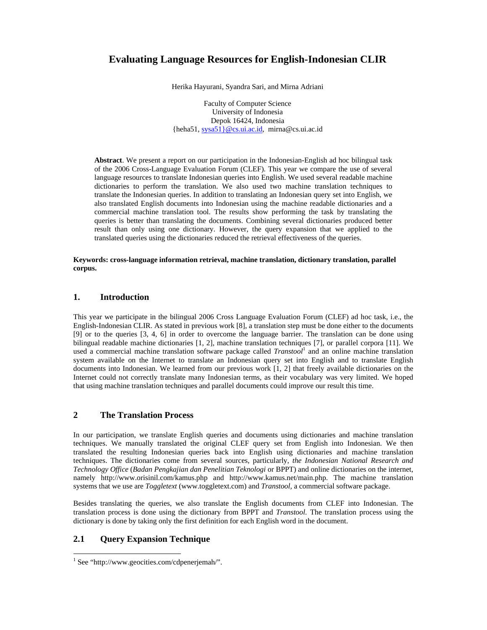# **Evaluating Language Resources for English-Indonesian CLIR**

Herika Hayurani, Syandra Sari, and Mirna Adriani

Faculty of Computer Science University of Indonesia Depok 16424, Indonesia {heha51, sysa51}@cs.ui.ac.id, mirna@cs.ui.ac.id

**Abstract**. We present a report on our participation in the Indonesian-English ad hoc bilingual task of the 2006 Cross-Language Evaluation Forum (CLEF). This year we compare the use of several language resources to translate Indonesian queries into English. We used several readable machine dictionaries to perform the translation. We also used two machine translation techniques to translate the Indonesian queries. In addition to translating an Indonesian query set into English, we also translated English documents into Indonesian using the machine readable dictionaries and a commercial machine translation tool. The results show performing the task by translating the queries is better than translating the documents. Combining several dictionaries produced better result than only using one dictionary. However, the query expansion that we applied to the translated queries using the dictionaries reduced the retrieval effectiveness of the queries.

**Keywords: cross-language information retrieval, machine translation, dictionary translation, parallel corpus.** 

### **1. Introduction**

This year we participate in the bilingual 2006 Cross Language Evaluation Forum (CLEF) ad hoc task, i.e., the English-Indonesian CLIR. As stated in previous work [8], a translation step must be done either to the documents [9] or to the queries [3, 4, 6] in order to overcome the language barrier. The translation can be done using bilingual readable machine dictionaries [1, 2], machine translation techniques [7], or parallel corpora [11]. We used a commercial machine translation software package called *Transtool*<sup>1</sup> and an online machine translation system available on the Internet to translate an Indonesian query set into English and to translate English documents into Indonesian. We learned from our previous work [1, 2] that freely available dictionaries on the Internet could not correctly translate many Indonesian terms, as their vocabulary was very limited. We hoped that using machine translation techniques and parallel documents could improve our result this time.

### **2 The Translation Process**

In our participation, we translate English queries and documents using dictionaries and machine translation techniques. We manually translated the original CLEF query set from English into Indonesian. We then translated the resulting Indonesian queries back into English using dictionaries and machine translation techniques. The dictionaries come from several sources, particularly, *the Indonesian National Research and Technology Office* (*Badan Pengkajian dan Penelitian Teknologi* or BPPT) and online dictionaries on the internet, namely http://www.orisinil.com/kamus.php and http://www.kamus.net/main.php. The machine translation systems that we use are *Toggletext* (www.toggletext.com) and *Transtool,* a commercial software package.

Besides translating the queries, we also translate the English documents from CLEF into Indonesian. The translation process is done using the dictionary from BPPT and *Transtool.* The translation process using the dictionary is done by taking only the first definition for each English word in the document.

# **2.1 Query Expansion Technique**

-

<sup>&</sup>lt;sup>1</sup> See "http://www.geocities.com/cdpenerjemah/".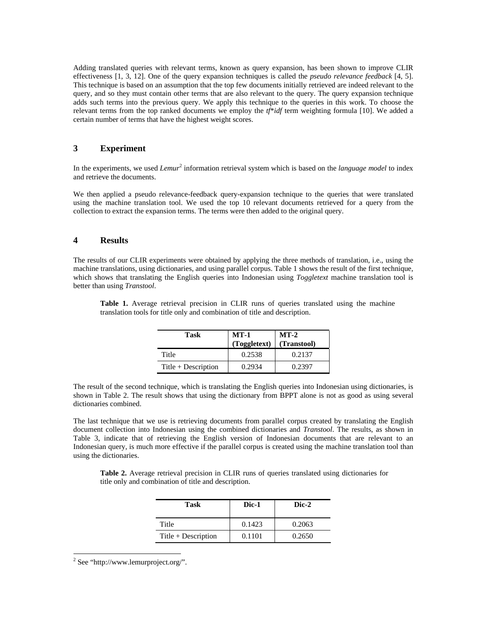Adding translated queries with relevant terms, known as query expansion, has been shown to improve CLIR effectiveness [1, 3, 12]. One of the query expansion techniques is called the *pseudo relevance feedback* [4, 5]. This technique is based on an assumption that the top few documents initially retrieved are indeed relevant to the query, and so they must contain other terms that are also relevant to the query. The query expansion technique adds such terms into the previous query. We apply this technique to the queries in this work. To choose the relevant terms from the top ranked documents we employ the *tf*\**idf* term weighting formula [10]. We added a certain number of terms that have the highest weight scores.

# **3 Experiment**

In the experiments, we used *Lemur*<sup>2</sup> information retrieval system which is based on the *language model* to index and retrieve the documents.

We then applied a pseudo relevance-feedback query-expansion technique to the queries that were translated using the machine translation tool. We used the top 10 relevant documents retrieved for a query from the collection to extract the expansion terms. The terms were then added to the original query.

### **4 Results**

The results of our CLIR experiments were obtained by applying the three methods of translation, i.e., using the machine translations, using dictionaries, and using parallel corpus. Table 1 shows the result of the first technique, which shows that translating the English queries into Indonesian using *Toggletext* machine translation tool is better than using *Transtool*.

**Table 1.** Average retrieval precision in CLIR runs of queries translated using the machine translation tools for title only and combination of title and description.

| Task                  | <b>MT-1</b><br>(Toggletext) | $MT-2$<br>(Transtool) |  |  |
|-----------------------|-----------------------------|-----------------------|--|--|
| Title                 | 0.2538                      | 0.2137                |  |  |
| $Title + Description$ | 0.2934                      | 0.2397                |  |  |

The result of the second technique, which is translating the English queries into Indonesian using dictionaries, is shown in Table 2. The result shows that using the dictionary from BPPT alone is not as good as using several dictionaries combined.

The last technique that we use is retrieving documents from parallel corpus created by translating the English document collection into Indonesian using the combined dictionaries and *Transtool*. The results, as shown in Table 3, indicate that of retrieving the English version of Indonesian documents that are relevant to an Indonesian query, is much more effective if the parallel corpus is created using the machine translation tool than using the dictionaries.

**Table 2.** Average retrieval precision in CLIR runs of queries translated using dictionaries for title only and combination of title and description.

| Task                  | Dic-1  | Dic-2  |  |  |
|-----------------------|--------|--------|--|--|
| Title                 | 0.1423 | 0.2063 |  |  |
| $Title + Description$ | 0.1101 | 0.2650 |  |  |

 $2$  See "http://www.lemurproject.org/".

-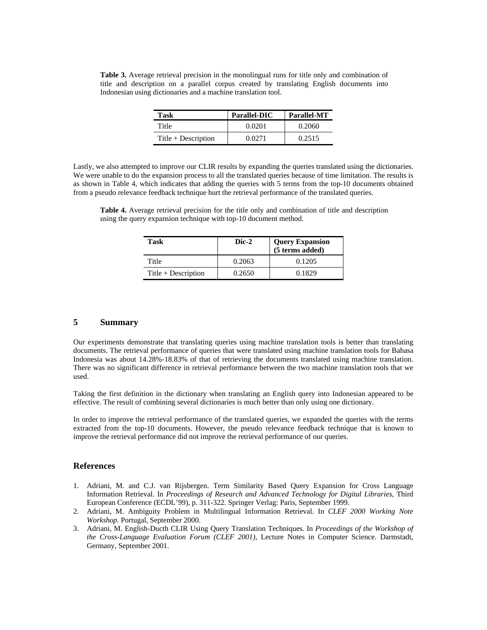|                                                               |  |  |  |  |  |  | <b>Table 3.</b> Average retrieval precision in the monolingual runs for title only and combination of |  |  |
|---------------------------------------------------------------|--|--|--|--|--|--|-------------------------------------------------------------------------------------------------------|--|--|
|                                                               |  |  |  |  |  |  | title and description on a parallel corpus created by translating English documents into              |  |  |
| Indonesian using dictionaries and a machine translation tool. |  |  |  |  |  |  |                                                                                                       |  |  |

| Task                  | Parallel-DIC | Parallel-MT |  |  |
|-----------------------|--------------|-------------|--|--|
| Title                 | 0.0201       | 0.2060      |  |  |
| $Title + Description$ | 0.0271       | 0.2515      |  |  |

Lastly, we also attempted to improve our CLIR results by expanding the queries translated using the dictionaries. We were unable to do the expansion process to all the translated queries because of time limitation. The results is as shown in Table 4, which indicates that adding the queries with 5 terms from the top-10 documents obtained from a pseudo relevance feedback technique hurt the retrieval performance of the translated queries.

**Table 4.** Average retrieval precision for the title only and combination of title and description using the query expansion technique with top-10 document method.

| Task                  | Dic-2  | <b>Query Expansion</b><br>(5 terms added) |
|-----------------------|--------|-------------------------------------------|
| Title                 | 0.2063 | 0.1205                                    |
| $Title + Description$ | 0.2650 | 0.1829                                    |

## **5 Summary**

Our experiments demonstrate that translating queries using machine translation tools is better than translating documents. The retrieval performance of queries that were translated using machine translation tools for Bahasa Indonesia was about 14.28%-18.83% of that of retrieving the documents translated using machine translation. There was no significant difference in retrieval performance between the two machine translation tools that we used.

Taking the first definition in the dictionary when translating an English query into Indonesian appeared to be effective. The result of combining several dictionaries is much better than only using one dictionary.

In order to improve the retrieval performance of the translated queries, we expanded the queries with the terms extracted from the top-10 documents. However, the pseudo relevance feedback technique that is known to improve the retrieval performance did not improve the retrieval performance of our queries.

#### **References**

- 1. Adriani, M. and C.J. van Rijsbergen. Term Similarity Based Query Expansion for Cross Language Information Retrieval. In *Proceedings of Research and Advanced Technology for Digital Libraries*, Third European Conference (ECDL'99), p. 311-322. Springer Verlag: Paris, September 1999.
- 2. Adriani, M. Ambiguity Problem in Multilingual Information Retrieval. In *CLEF 2000 Working Note Workshop.* Portugal, September 2000.
- 3. Adriani, M. English-Ducth CLIR Using Query Translation Techniques. In *Proceedings of the Workshop of the Cross-Language Evaluation Forum (CLEF 2001)*, Lecture Notes in Computer Science. Darmstadt, Germany, September 2001.